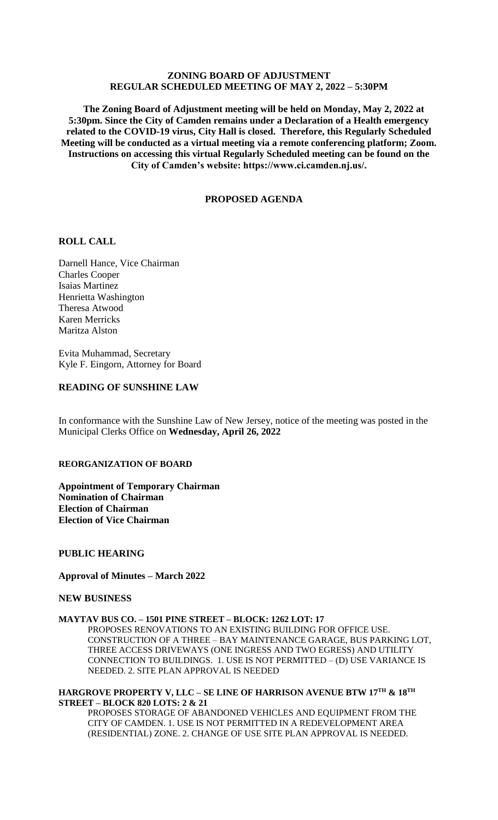## **ZONING BOARD OF ADJUSTMENT REGULAR SCHEDULED MEETING OF MAY 2, 2022 – 5:30PM**

 **The Zoning Board of Adjustment meeting will be held on Monday, May 2, 2022 at 5:30pm. Since the City of Camden remains under a Declaration of a Health emergency related to the COVID-19 virus, City Hall is closed. Therefore, this Regularly Scheduled Meeting will be conducted as a virtual meeting via a remote conferencing platform; Zoom. Instructions on accessing this virtual Regularly Scheduled meeting can be found on the City of Camden's website: https://www.ci.camden.nj.us/.**

## **PROPOSED AGENDA**

## **ROLL CALL**

Darnell Hance, Vice Chairman Charles Cooper Isaias Martinez Henrietta Washington Theresa Atwood Karen Merricks Maritza Alston

Evita Muhammad, Secretary Kyle F. Eingorn, Attorney for Board

## **READING OF SUNSHINE LAW**

In conformance with the Sunshine Law of New Jersey, notice of the meeting was posted in the Municipal Clerks Office on **Wednesday, April 26, 2022**

### **REORGANIZATION OF BOARD**

**Appointment of Temporary Chairman Nomination of Chairman Election of Chairman Election of Vice Chairman**

### **PUBLIC HEARING**

#### **Approval of Minutes – March 2022**

### **NEW BUSINESS**

#### **MAYTAV BUS CO. – 1501 PINE STREET – BLOCK: 1262 LOT: 17**

PROPOSES RENOVATIONS TO AN EXISTING BUILDING FOR OFFICE USE. CONSTRUCTION OF A THREE – BAY MAINTENANCE GARAGE, BUS PARKING LOT, THREE ACCESS DRIVEWAYS (ONE INGRESS AND TWO EGRESS) AND UTILITY CONNECTION TO BUILDINGS. 1. USE IS NOT PERMITTED – (D) USE VARIANCE IS NEEDED. 2. SITE PLAN APPROVAL IS NEEDED

### **HARGROVE PROPERTY V, LLC – SE LINE OF HARRISON AVENUE BTW 17TH & 18TH STREET – BLOCK 820 LOTS: 2 & 21**

PROPOSES STORAGE OF ABANDONED VEHICLES AND EQUIPMENT FROM THE CITY OF CAMDEN. 1. USE IS NOT PERMITTED IN A REDEVELOPMENT AREA (RESIDENTIAL) ZONE. 2. CHANGE OF USE SITE PLAN APPROVAL IS NEEDED.